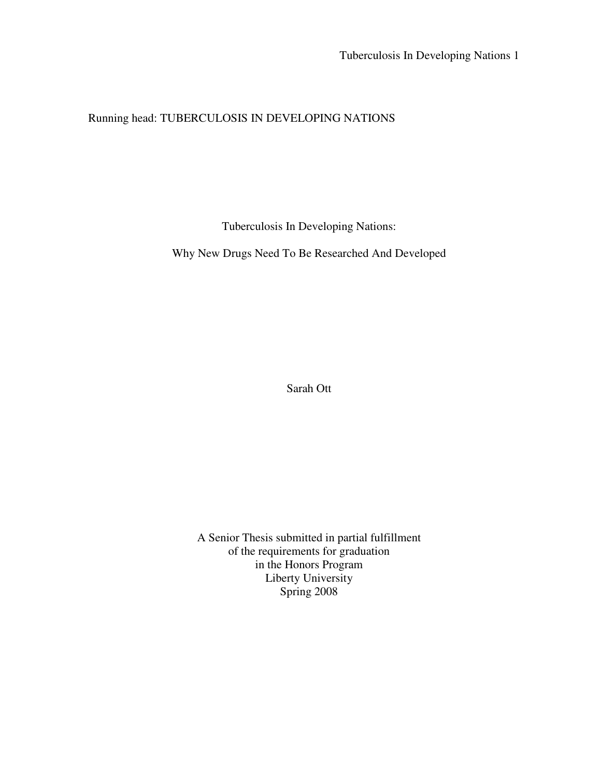# Running head: TUBERCULOSIS IN DEVELOPING NATIONS

Tuberculosis In Developing Nations:

Why New Drugs Need To Be Researched And Developed

Sarah Ott

A Senior Thesis submitted in partial fulfillment of the requirements for graduation in the Honors Program Liberty University Spring 2008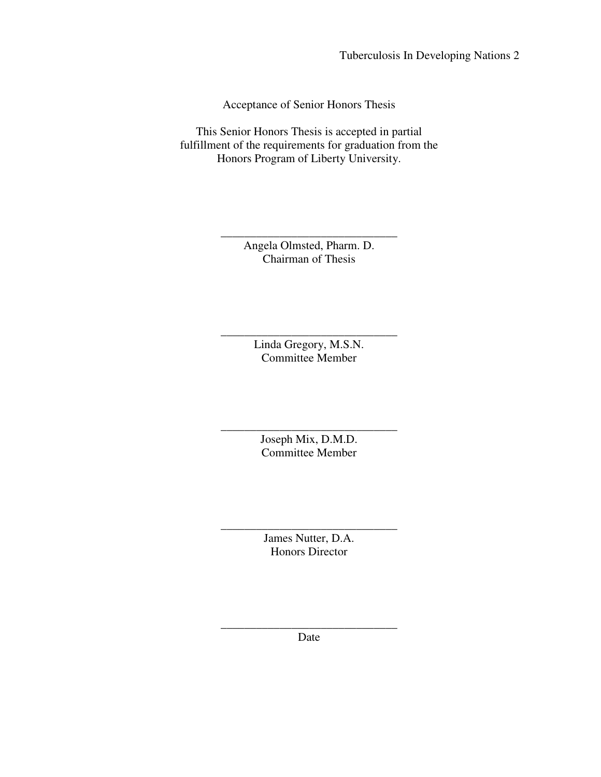Acceptance of Senior Honors Thesis

This Senior Honors Thesis is accepted in partial fulfillment of the requirements for graduation from the Honors Program of Liberty University.

> \_\_\_\_\_\_\_\_\_\_\_\_\_\_\_\_\_\_\_\_\_\_\_\_\_\_\_\_\_\_ Angela Olmsted, Pharm. D. Chairman of Thesis

> > Linda Gregory, M.S.N. Committee Member

\_\_\_\_\_\_\_\_\_\_\_\_\_\_\_\_\_\_\_\_\_\_\_\_\_\_\_\_\_\_

\_\_\_\_\_\_\_\_\_\_\_\_\_\_\_\_\_\_\_\_\_\_\_\_\_\_\_\_\_\_ Joseph Mix, D.M.D. Committee Member

\_\_\_\_\_\_\_\_\_\_\_\_\_\_\_\_\_\_\_\_\_\_\_\_\_\_\_\_\_\_ James Nutter, D.A. Honors Director

\_\_\_\_\_\_\_\_\_\_\_\_\_\_\_\_\_\_\_\_\_\_\_\_\_\_\_\_\_\_ Date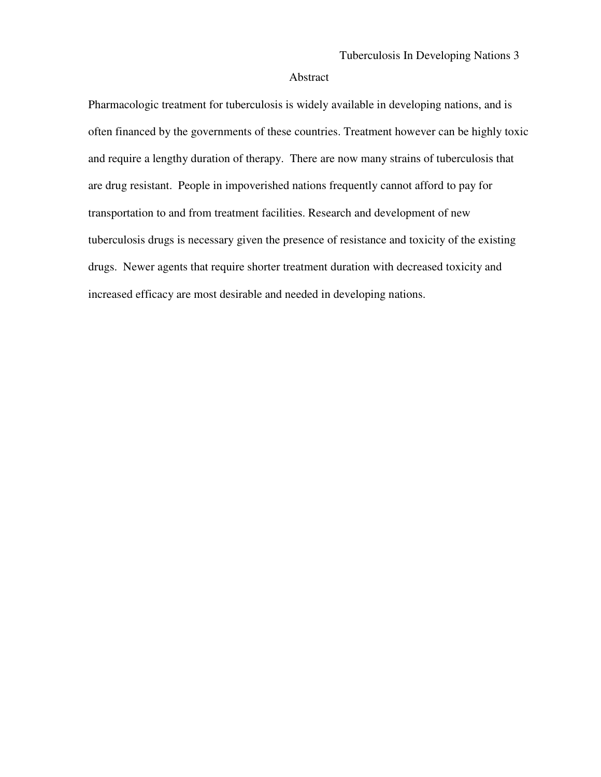#### Abstract

Pharmacologic treatment for tuberculosis is widely available in developing nations, and is often financed by the governments of these countries. Treatment however can be highly toxic and require a lengthy duration of therapy. There are now many strains of tuberculosis that are drug resistant. People in impoverished nations frequently cannot afford to pay for transportation to and from treatment facilities. Research and development of new tuberculosis drugs is necessary given the presence of resistance and toxicity of the existing drugs. Newer agents that require shorter treatment duration with decreased toxicity and increased efficacy are most desirable and needed in developing nations.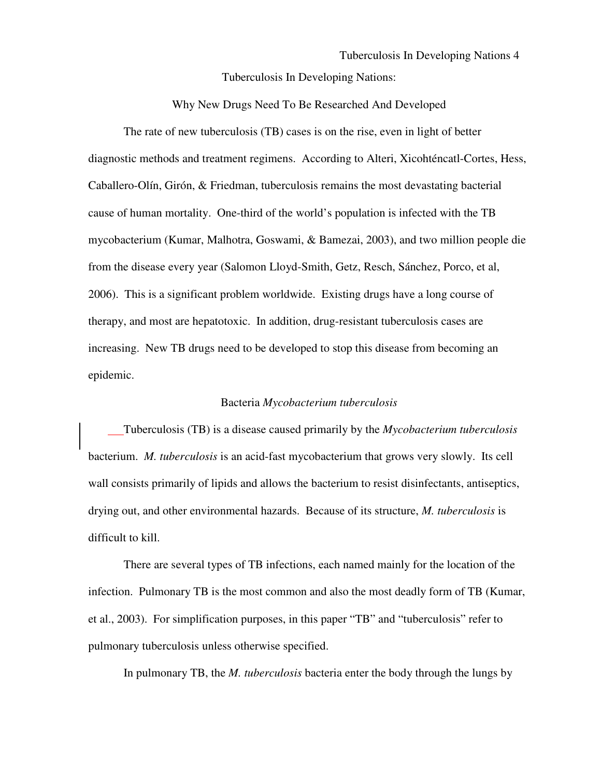Why New Drugs Need To Be Researched And Developed

The rate of new tuberculosis (TB) cases is on the rise, even in light of better diagnostic methods and treatment regimens. According to Alteri, Xicohténcatl-Cortes, Hess, Caballero-Olín, Girón, & Friedman, tuberculosis remains the most devastating bacterial cause of human mortality. One-third of the world's population is infected with the TB mycobacterium (Kumar, Malhotra, Goswami, & Bamezai, 2003), and two million people die from the disease every year (Salomon Lloyd-Smith, Getz, Resch, Sánchez, Porco, et al, 2006). This is a significant problem worldwide. Existing drugs have a long course of therapy, and most are hepatotoxic. In addition, drug-resistant tuberculosis cases are increasing. New TB drugs need to be developed to stop this disease from becoming an epidemic.

#### Bacteria *Mycobacterium tuberculosis*

Tuberculosis (TB) is a disease caused primarily by the *Mycobacterium tuberculosis* bacterium. *M. tuberculosis* is an acid-fast mycobacterium that grows very slowly. Its cell wall consists primarily of lipids and allows the bacterium to resist disinfectants, antiseptics, drying out, and other environmental hazards. Because of its structure, *M. tuberculosis* is difficult to kill.

There are several types of TB infections, each named mainly for the location of the infection. Pulmonary TB is the most common and also the most deadly form of TB (Kumar, et al., 2003). For simplification purposes, in this paper "TB" and "tuberculosis" refer to pulmonary tuberculosis unless otherwise specified.

In pulmonary TB, the *M. tuberculosis* bacteria enter the body through the lungs by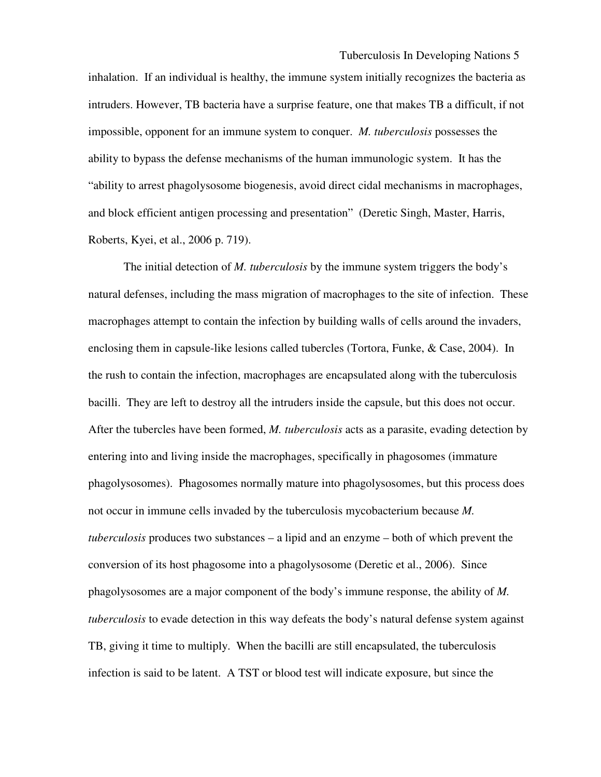inhalation. If an individual is healthy, the immune system initially recognizes the bacteria as intruders. However, TB bacteria have a surprise feature, one that makes TB a difficult, if not impossible, opponent for an immune system to conquer. *M. tuberculosis* possesses the ability to bypass the defense mechanisms of the human immunologic system. It has the "ability to arrest phagolysosome biogenesis, avoid direct cidal mechanisms in macrophages, and block efficient antigen processing and presentation" (Deretic Singh, Master, Harris, Roberts, Kyei, et al., 2006 p. 719).

The initial detection of *M. tuberculosis* by the immune system triggers the body's natural defenses, including the mass migration of macrophages to the site of infection. These macrophages attempt to contain the infection by building walls of cells around the invaders, enclosing them in capsule-like lesions called tubercles (Tortora, Funke, & Case, 2004). In the rush to contain the infection, macrophages are encapsulated along with the tuberculosis bacilli. They are left to destroy all the intruders inside the capsule, but this does not occur. After the tubercles have been formed, *M. tuberculosis* acts as a parasite, evading detection by entering into and living inside the macrophages, specifically in phagosomes (immature phagolysosomes). Phagosomes normally mature into phagolysosomes, but this process does not occur in immune cells invaded by the tuberculosis mycobacterium because *M. tuberculosis* produces two substances – a lipid and an enzyme – both of which prevent the conversion of its host phagosome into a phagolysosome (Deretic et al., 2006). Since phagolysosomes are a major component of the body's immune response, the ability of *M. tuberculosis* to evade detection in this way defeats the body's natural defense system against TB, giving it time to multiply. When the bacilli are still encapsulated, the tuberculosis infection is said to be latent. A TST or blood test will indicate exposure, but since the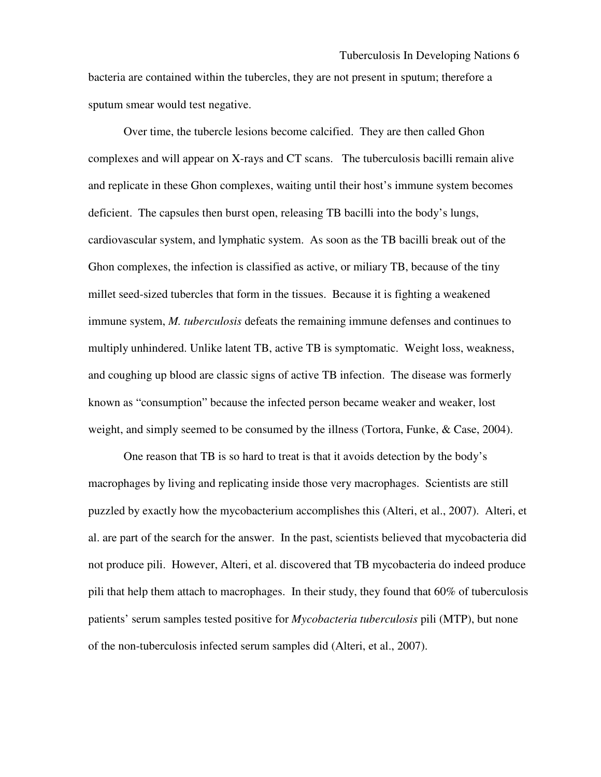bacteria are contained within the tubercles, they are not present in sputum; therefore a sputum smear would test negative.

 Over time, the tubercle lesions become calcified. They are then called Ghon complexes and will appear on X-rays and CT scans. The tuberculosis bacilli remain alive and replicate in these Ghon complexes, waiting until their host's immune system becomes deficient. The capsules then burst open, releasing TB bacilli into the body's lungs, cardiovascular system, and lymphatic system. As soon as the TB bacilli break out of the Ghon complexes, the infection is classified as active, or miliary TB, because of the tiny millet seed-sized tubercles that form in the tissues. Because it is fighting a weakened immune system, *M. tuberculosis* defeats the remaining immune defenses and continues to multiply unhindered. Unlike latent TB, active TB is symptomatic. Weight loss, weakness, and coughing up blood are classic signs of active TB infection. The disease was formerly known as "consumption" because the infected person became weaker and weaker, lost weight, and simply seemed to be consumed by the illness (Tortora, Funke, & Case, 2004).

 One reason that TB is so hard to treat is that it avoids detection by the body's macrophages by living and replicating inside those very macrophages. Scientists are still puzzled by exactly how the mycobacterium accomplishes this (Alteri, et al., 2007). Alteri, et al. are part of the search for the answer. In the past, scientists believed that mycobacteria did not produce pili. However, Alteri, et al. discovered that TB mycobacteria do indeed produce pili that help them attach to macrophages. In their study, they found that 60% of tuberculosis patients' serum samples tested positive for *Mycobacteria tuberculosis* pili (MTP), but none of the non-tuberculosis infected serum samples did (Alteri, et al., 2007).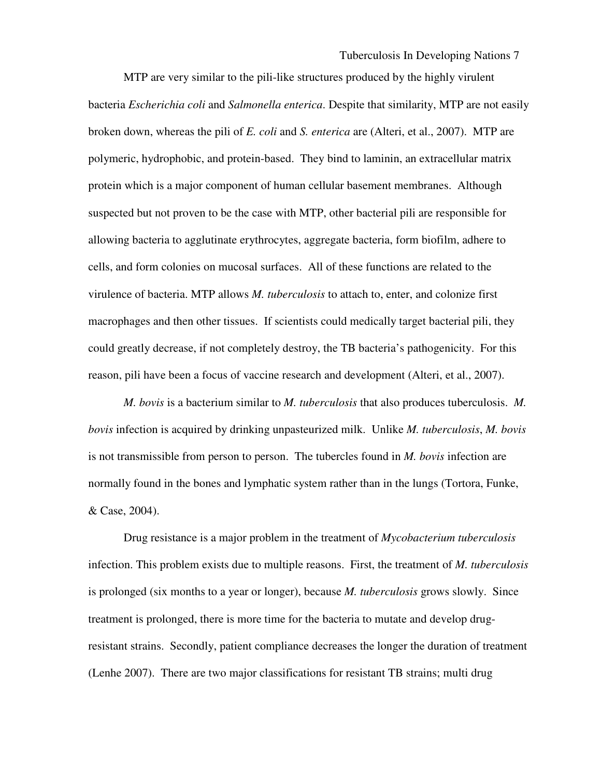MTP are very similar to the pili-like structures produced by the highly virulent bacteria *Escherichia coli* and *Salmonella enterica*. Despite that similarity, MTP are not easily broken down, whereas the pili of *E. coli* and *S. enterica* are (Alteri, et al., 2007). MTP are polymeric, hydrophobic, and protein-based. They bind to laminin, an extracellular matrix protein which is a major component of human cellular basement membranes. Although suspected but not proven to be the case with MTP, other bacterial pili are responsible for allowing bacteria to agglutinate erythrocytes, aggregate bacteria, form biofilm, adhere to cells, and form colonies on mucosal surfaces. All of these functions are related to the virulence of bacteria. MTP allows *M. tuberculosis* to attach to, enter, and colonize first macrophages and then other tissues. If scientists could medically target bacterial pili, they could greatly decrease, if not completely destroy, the TB bacteria's pathogenicity. For this reason, pili have been a focus of vaccine research and development (Alteri, et al., 2007).

 *M. bovis* is a bacterium similar to *M. tuberculosis* that also produces tuberculosis. *M. bovis* infection is acquired by drinking unpasteurized milk. Unlike *M. tuberculosis*, *M. bovis* is not transmissible from person to person. The tubercles found in *M. bovis* infection are normally found in the bones and lymphatic system rather than in the lungs (Tortora, Funke, & Case, 2004).

 Drug resistance is a major problem in the treatment of *Mycobacterium tuberculosis* infection. This problem exists due to multiple reasons. First, the treatment of *M. tuberculosis* is prolonged (six months to a year or longer), because *M. tuberculosis* grows slowly. Since treatment is prolonged, there is more time for the bacteria to mutate and develop drugresistant strains. Secondly, patient compliance decreases the longer the duration of treatment (Lenhe 2007). There are two major classifications for resistant TB strains; multi drug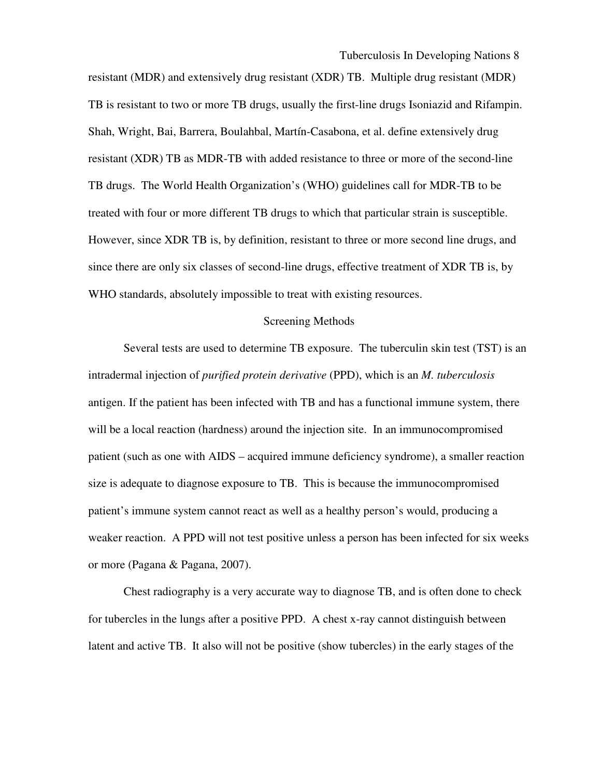resistant (MDR) and extensively drug resistant (XDR) TB. Multiple drug resistant (MDR) TB is resistant to two or more TB drugs, usually the first-line drugs Isoniazid and Rifampin. Shah, Wright, Bai, Barrera, Boulahbal, Martín-Casabona, et al. define extensively drug resistant (XDR) TB as MDR-TB with added resistance to three or more of the second-line TB drugs. The World Health Organization's (WHO) guidelines call for MDR-TB to be treated with four or more different TB drugs to which that particular strain is susceptible. However, since XDR TB is, by definition, resistant to three or more second line drugs, and since there are only six classes of second-line drugs, effective treatment of XDR TB is, by WHO standards, absolutely impossible to treat with existing resources.

#### Screening Methods

 Several tests are used to determine TB exposure. The tuberculin skin test (TST) is an intradermal injection of *purified protein derivative* (PPD), which is an *M. tuberculosis* antigen. If the patient has been infected with TB and has a functional immune system, there will be a local reaction (hardness) around the injection site. In an immunocompromised patient (such as one with AIDS – acquired immune deficiency syndrome), a smaller reaction size is adequate to diagnose exposure to TB. This is because the immunocompromised patient's immune system cannot react as well as a healthy person's would, producing a weaker reaction. A PPD will not test positive unless a person has been infected for six weeks or more (Pagana & Pagana, 2007).

 Chest radiography is a very accurate way to diagnose TB, and is often done to check for tubercles in the lungs after a positive PPD. A chest x-ray cannot distinguish between latent and active TB. It also will not be positive (show tubercles) in the early stages of the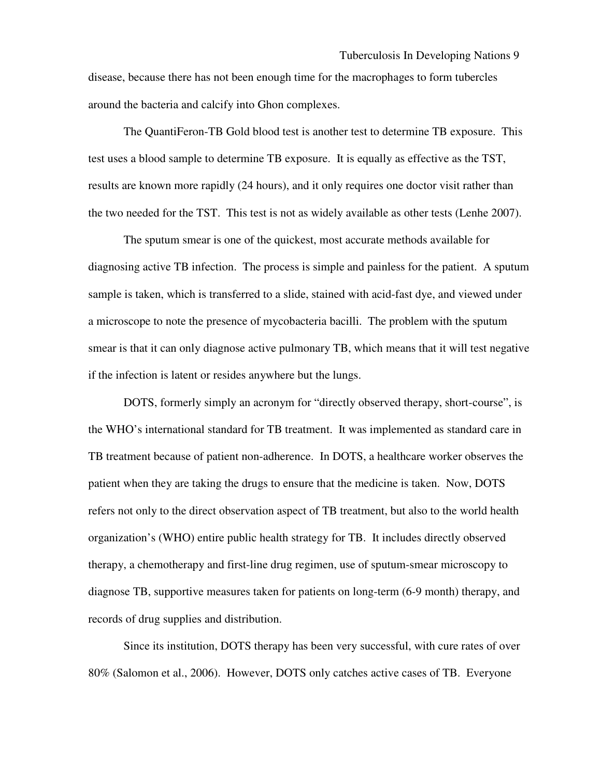disease, because there has not been enough time for the macrophages to form tubercles around the bacteria and calcify into Ghon complexes.

 The QuantiFeron-TB Gold blood test is another test to determine TB exposure. This test uses a blood sample to determine TB exposure. It is equally as effective as the TST, results are known more rapidly (24 hours), and it only requires one doctor visit rather than the two needed for the TST. This test is not as widely available as other tests (Lenhe 2007).

The sputum smear is one of the quickest, most accurate methods available for diagnosing active TB infection. The process is simple and painless for the patient. A sputum sample is taken, which is transferred to a slide, stained with acid-fast dye, and viewed under a microscope to note the presence of mycobacteria bacilli. The problem with the sputum smear is that it can only diagnose active pulmonary TB, which means that it will test negative if the infection is latent or resides anywhere but the lungs.

DOTS, formerly simply an acronym for "directly observed therapy, short-course", is the WHO's international standard for TB treatment. It was implemented as standard care in TB treatment because of patient non-adherence. In DOTS, a healthcare worker observes the patient when they are taking the drugs to ensure that the medicine is taken. Now, DOTS refers not only to the direct observation aspect of TB treatment, but also to the world health organization's (WHO) entire public health strategy for TB. It includes directly observed therapy, a chemotherapy and first-line drug regimen, use of sputum-smear microscopy to diagnose TB, supportive measures taken for patients on long-term (6-9 month) therapy, and records of drug supplies and distribution.

 Since its institution, DOTS therapy has been very successful, with cure rates of over 80% (Salomon et al., 2006). However, DOTS only catches active cases of TB. Everyone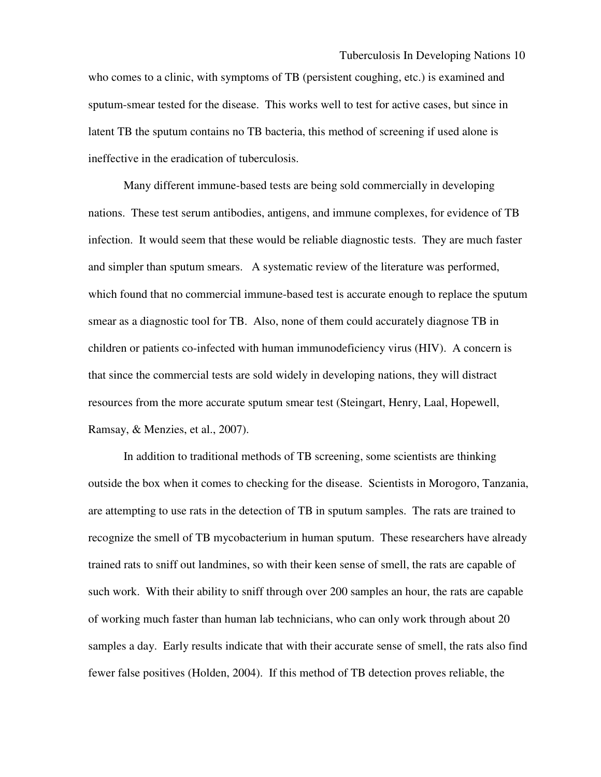who comes to a clinic, with symptoms of TB (persistent coughing, etc.) is examined and sputum-smear tested for the disease. This works well to test for active cases, but since in latent TB the sputum contains no TB bacteria, this method of screening if used alone is ineffective in the eradication of tuberculosis.

 Many different immune-based tests are being sold commercially in developing nations. These test serum antibodies, antigens, and immune complexes, for evidence of TB infection. It would seem that these would be reliable diagnostic tests. They are much faster and simpler than sputum smears. A systematic review of the literature was performed, which found that no commercial immune-based test is accurate enough to replace the sputum smear as a diagnostic tool for TB. Also, none of them could accurately diagnose TB in children or patients co-infected with human immunodeficiency virus (HIV). A concern is that since the commercial tests are sold widely in developing nations, they will distract resources from the more accurate sputum smear test (Steingart, Henry, Laal, Hopewell, Ramsay, & Menzies, et al., 2007).

 In addition to traditional methods of TB screening, some scientists are thinking outside the box when it comes to checking for the disease. Scientists in Morogoro, Tanzania, are attempting to use rats in the detection of TB in sputum samples. The rats are trained to recognize the smell of TB mycobacterium in human sputum. These researchers have already trained rats to sniff out landmines, so with their keen sense of smell, the rats are capable of such work. With their ability to sniff through over 200 samples an hour, the rats are capable of working much faster than human lab technicians, who can only work through about 20 samples a day. Early results indicate that with their accurate sense of smell, the rats also find fewer false positives (Holden, 2004). If this method of TB detection proves reliable, the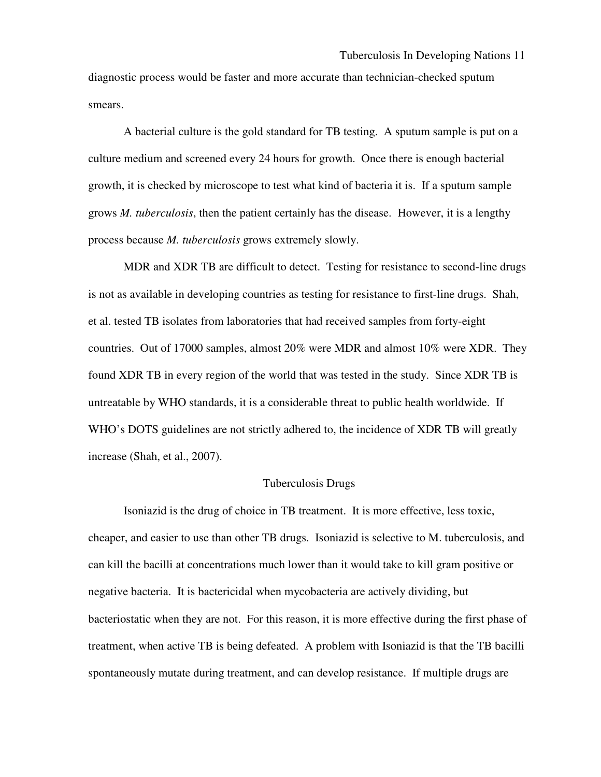diagnostic process would be faster and more accurate than technician-checked sputum smears.

 A bacterial culture is the gold standard for TB testing. A sputum sample is put on a culture medium and screened every 24 hours for growth. Once there is enough bacterial growth, it is checked by microscope to test what kind of bacteria it is. If a sputum sample grows *M. tuberculosis*, then the patient certainly has the disease. However, it is a lengthy process because *M. tuberculosis* grows extremely slowly.

 MDR and XDR TB are difficult to detect. Testing for resistance to second-line drugs is not as available in developing countries as testing for resistance to first-line drugs. Shah, et al. tested TB isolates from laboratories that had received samples from forty-eight countries. Out of 17000 samples, almost 20% were MDR and almost 10% were XDR. They found XDR TB in every region of the world that was tested in the study. Since XDR TB is untreatable by WHO standards, it is a considerable threat to public health worldwide. If WHO's DOTS guidelines are not strictly adhered to, the incidence of XDR TB will greatly increase (Shah, et al., 2007).

## Tuberculosis Drugs

 Isoniazid is the drug of choice in TB treatment. It is more effective, less toxic, cheaper, and easier to use than other TB drugs. Isoniazid is selective to M. tuberculosis, and can kill the bacilli at concentrations much lower than it would take to kill gram positive or negative bacteria. It is bactericidal when mycobacteria are actively dividing, but bacteriostatic when they are not. For this reason, it is more effective during the first phase of treatment, when active TB is being defeated. A problem with Isoniazid is that the TB bacilli spontaneously mutate during treatment, and can develop resistance. If multiple drugs are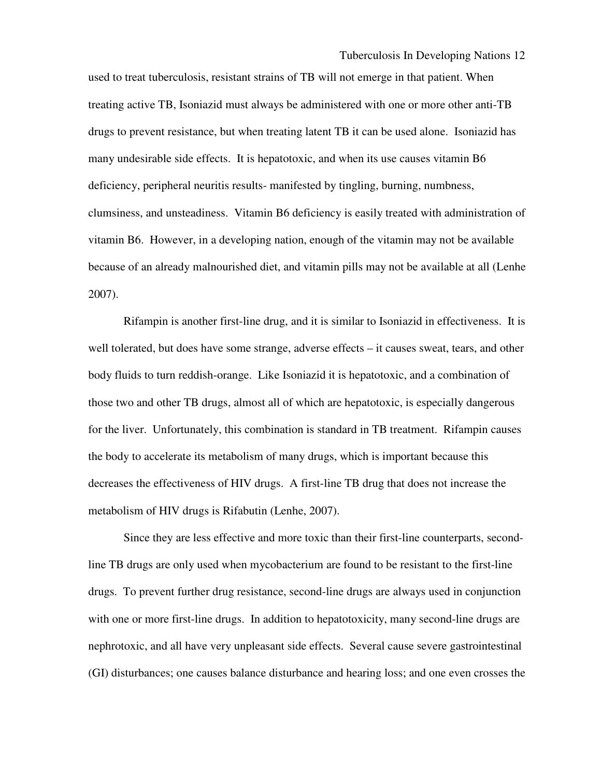used to treat tuberculosis, resistant strains of TB will not emerge in that patient. When treating active TB, Isoniazid must always be administered with one or more other anti-TB drugs to prevent resistance, but when treating latent TB it can be used alone. Isoniazid has many undesirable side effects. It is hepatotoxic, and when its use causes vitamin B6 deficiency, peripheral neuritis results- manifested by tingling, burning, numbness, clumsiness, and unsteadiness. Vitamin B6 deficiency is easily treated with administration of vitamin B6. However, in a developing nation, enough of the vitamin may not be available because of an already malnourished diet, and vitamin pills may not be available at all (Lenhe 2007).

 Rifampin is another first-line drug, and it is similar to Isoniazid in effectiveness. It is well tolerated, but does have some strange, adverse effects – it causes sweat, tears, and other body fluids to turn reddish-orange. Like Isoniazid it is hepatotoxic, and a combination of those two and other TB drugs, almost all of which are hepatotoxic, is especially dangerous for the liver. Unfortunately, this combination is standard in TB treatment. Rifampin causes the body to accelerate its metabolism of many drugs, which is important because this decreases the effectiveness of HIV drugs. A first-line TB drug that does not increase the metabolism of HIV drugs is Rifabutin (Lenhe, 2007).

 Since they are less effective and more toxic than their first-line counterparts, secondline TB drugs are only used when mycobacterium are found to be resistant to the first-line drugs. To prevent further drug resistance, second-line drugs are always used in conjunction with one or more first-line drugs. In addition to hepatotoxicity, many second-line drugs are nephrotoxic, and all have very unpleasant side effects. Several cause severe gastrointestinal (GI) disturbances; one causes balance disturbance and hearing loss; and one even crosses the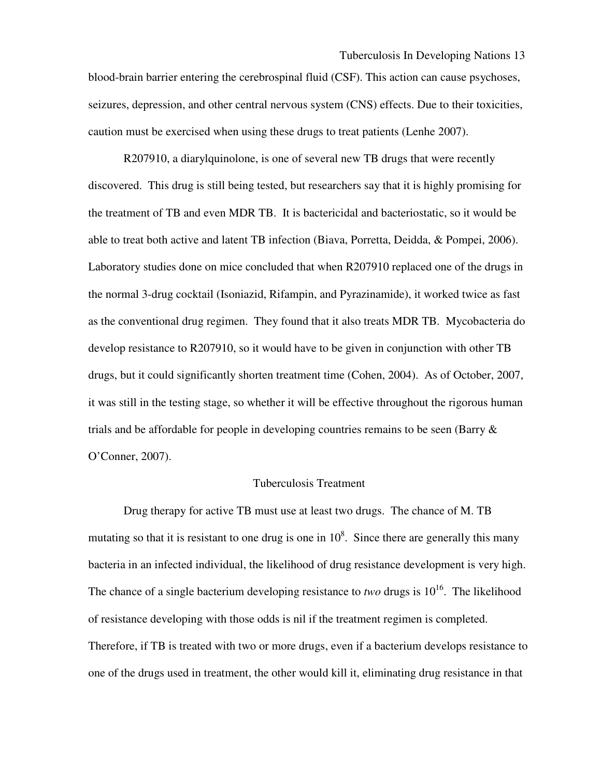blood-brain barrier entering the cerebrospinal fluid (CSF). This action can cause psychoses, seizures, depression, and other central nervous system (CNS) effects. Due to their toxicities, caution must be exercised when using these drugs to treat patients (Lenhe 2007).

 R207910, a diarylquinolone, is one of several new TB drugs that were recently discovered. This drug is still being tested, but researchers say that it is highly promising for the treatment of TB and even MDR TB. It is bactericidal and bacteriostatic, so it would be able to treat both active and latent TB infection (Biava, Porretta, Deidda, & Pompei, 2006). Laboratory studies done on mice concluded that when R207910 replaced one of the drugs in the normal 3-drug cocktail (Isoniazid, Rifampin, and Pyrazinamide), it worked twice as fast as the conventional drug regimen. They found that it also treats MDR TB. Mycobacteria do develop resistance to R207910, so it would have to be given in conjunction with other TB drugs, but it could significantly shorten treatment time (Cohen, 2004). As of October, 2007, it was still in the testing stage, so whether it will be effective throughout the rigorous human trials and be affordable for people in developing countries remains to be seen (Barry  $\&$ O'Conner, 2007).

#### Tuberculosis Treatment

Drug therapy for active TB must use at least two drugs. The chance of M. TB mutating so that it is resistant to one drug is one in  $10^8$ . Since there are generally this many bacteria in an infected individual, the likelihood of drug resistance development is very high. The chance of a single bacterium developing resistance to *two* drugs is  $10^{16}$ . The likelihood of resistance developing with those odds is nil if the treatment regimen is completed. Therefore, if TB is treated with two or more drugs, even if a bacterium develops resistance to one of the drugs used in treatment, the other would kill it, eliminating drug resistance in that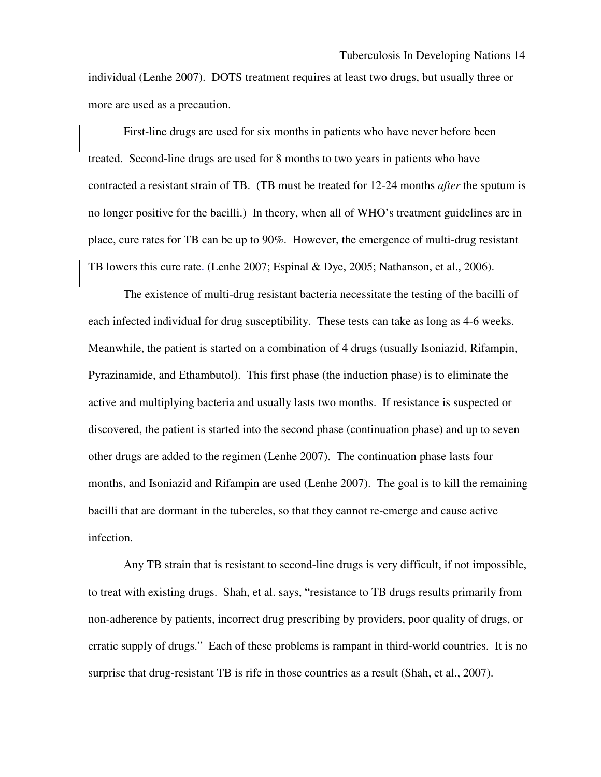individual (Lenhe 2007). DOTS treatment requires at least two drugs, but usually three or more are used as a precaution.

 First-line drugs are used for six months in patients who have never before been treated. Second-line drugs are used for 8 months to two years in patients who have contracted a resistant strain of TB. (TB must be treated for 12-24 months *after* the sputum is no longer positive for the bacilli.) In theory, when all of WHO's treatment guidelines are in place, cure rates for TB can be up to 90%. However, the emergence of multi-drug resistant TB lowers this cure rate. (Lenhe 2007; Espinal & Dye, 2005; Nathanson, et al., 2006).

 The existence of multi-drug resistant bacteria necessitate the testing of the bacilli of each infected individual for drug susceptibility. These tests can take as long as 4-6 weeks. Meanwhile, the patient is started on a combination of 4 drugs (usually Isoniazid, Rifampin, Pyrazinamide, and Ethambutol). This first phase (the induction phase) is to eliminate the active and multiplying bacteria and usually lasts two months. If resistance is suspected or discovered, the patient is started into the second phase (continuation phase) and up to seven other drugs are added to the regimen (Lenhe 2007). The continuation phase lasts four months, and Isoniazid and Rifampin are used (Lenhe 2007). The goal is to kill the remaining bacilli that are dormant in the tubercles, so that they cannot re-emerge and cause active infection.

 Any TB strain that is resistant to second-line drugs is very difficult, if not impossible, to treat with existing drugs. Shah, et al. says, "resistance to TB drugs results primarily from non-adherence by patients, incorrect drug prescribing by providers, poor quality of drugs, or erratic supply of drugs." Each of these problems is rampant in third-world countries. It is no surprise that drug-resistant TB is rife in those countries as a result (Shah, et al., 2007).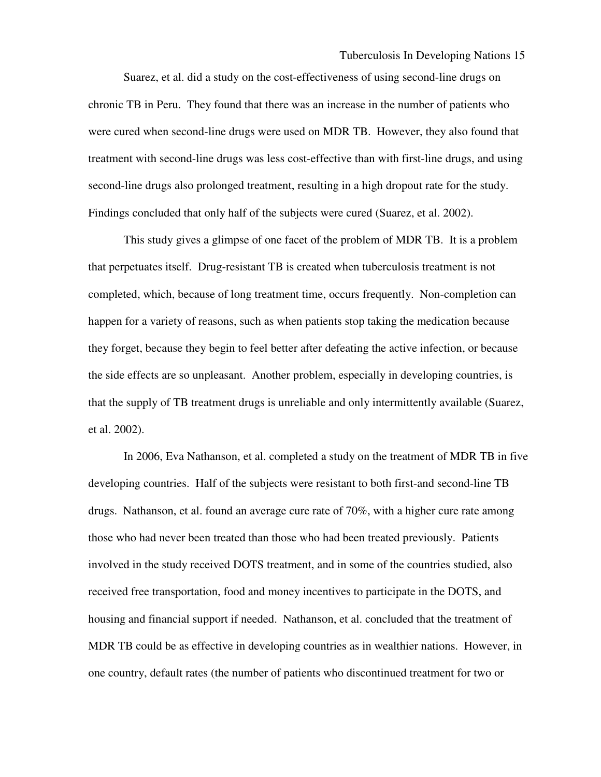Suarez, et al. did a study on the cost-effectiveness of using second-line drugs on chronic TB in Peru. They found that there was an increase in the number of patients who were cured when second-line drugs were used on MDR TB. However, they also found that treatment with second-line drugs was less cost-effective than with first-line drugs, and using second-line drugs also prolonged treatment, resulting in a high dropout rate for the study. Findings concluded that only half of the subjects were cured (Suarez, et al. 2002).

 This study gives a glimpse of one facet of the problem of MDR TB. It is a problem that perpetuates itself. Drug-resistant TB is created when tuberculosis treatment is not completed, which, because of long treatment time, occurs frequently. Non-completion can happen for a variety of reasons, such as when patients stop taking the medication because they forget, because they begin to feel better after defeating the active infection, or because the side effects are so unpleasant. Another problem, especially in developing countries, is that the supply of TB treatment drugs is unreliable and only intermittently available (Suarez, et al. 2002).

 In 2006, Eva Nathanson, et al. completed a study on the treatment of MDR TB in five developing countries. Half of the subjects were resistant to both first-and second-line TB drugs. Nathanson, et al. found an average cure rate of 70%, with a higher cure rate among those who had never been treated than those who had been treated previously. Patients involved in the study received DOTS treatment, and in some of the countries studied, also received free transportation, food and money incentives to participate in the DOTS, and housing and financial support if needed. Nathanson, et al. concluded that the treatment of MDR TB could be as effective in developing countries as in wealthier nations. However, in one country, default rates (the number of patients who discontinued treatment for two or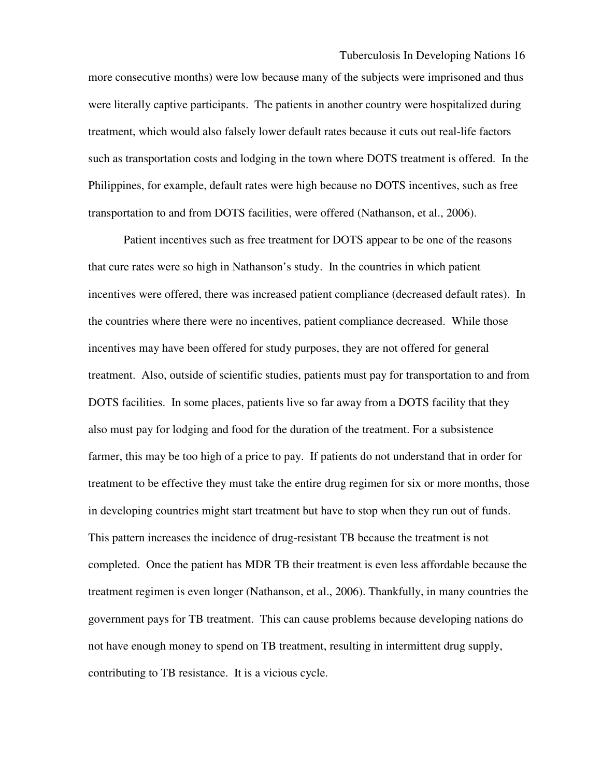more consecutive months) were low because many of the subjects were imprisoned and thus were literally captive participants. The patients in another country were hospitalized during treatment, which would also falsely lower default rates because it cuts out real-life factors such as transportation costs and lodging in the town where DOTS treatment is offered. In the Philippines, for example, default rates were high because no DOTS incentives, such as free transportation to and from DOTS facilities, were offered (Nathanson, et al., 2006).

 Patient incentives such as free treatment for DOTS appear to be one of the reasons that cure rates were so high in Nathanson's study. In the countries in which patient incentives were offered, there was increased patient compliance (decreased default rates). In the countries where there were no incentives, patient compliance decreased. While those incentives may have been offered for study purposes, they are not offered for general treatment. Also, outside of scientific studies, patients must pay for transportation to and from DOTS facilities. In some places, patients live so far away from a DOTS facility that they also must pay for lodging and food for the duration of the treatment. For a subsistence farmer, this may be too high of a price to pay. If patients do not understand that in order for treatment to be effective they must take the entire drug regimen for six or more months, those in developing countries might start treatment but have to stop when they run out of funds. This pattern increases the incidence of drug-resistant TB because the treatment is not completed. Once the patient has MDR TB their treatment is even less affordable because the treatment regimen is even longer (Nathanson, et al., 2006). Thankfully, in many countries the government pays for TB treatment. This can cause problems because developing nations do not have enough money to spend on TB treatment, resulting in intermittent drug supply, contributing to TB resistance. It is a vicious cycle.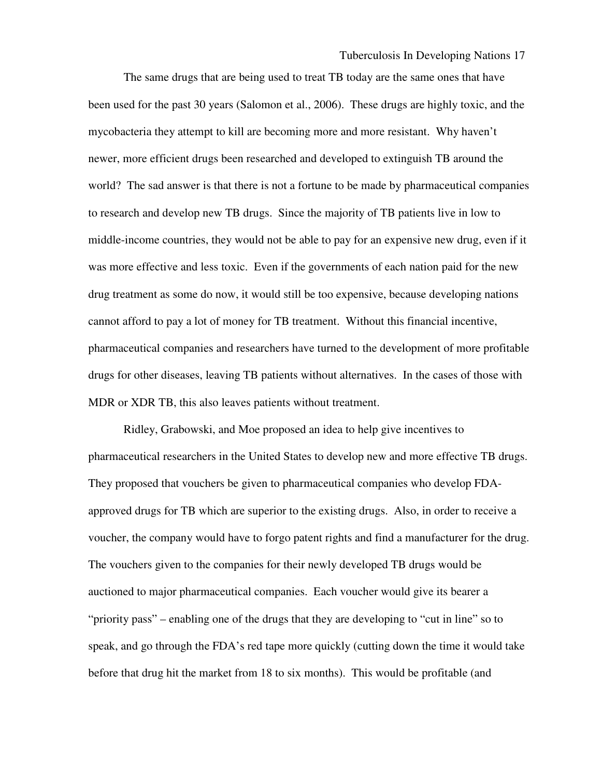The same drugs that are being used to treat TB today are the same ones that have been used for the past 30 years (Salomon et al., 2006). These drugs are highly toxic, and the mycobacteria they attempt to kill are becoming more and more resistant. Why haven't newer, more efficient drugs been researched and developed to extinguish TB around the world? The sad answer is that there is not a fortune to be made by pharmaceutical companies to research and develop new TB drugs. Since the majority of TB patients live in low to middle-income countries, they would not be able to pay for an expensive new drug, even if it was more effective and less toxic. Even if the governments of each nation paid for the new drug treatment as some do now, it would still be too expensive, because developing nations cannot afford to pay a lot of money for TB treatment. Without this financial incentive, pharmaceutical companies and researchers have turned to the development of more profitable drugs for other diseases, leaving TB patients without alternatives. In the cases of those with MDR or XDR TB, this also leaves patients without treatment.

 Ridley, Grabowski, and Moe proposed an idea to help give incentives to pharmaceutical researchers in the United States to develop new and more effective TB drugs. They proposed that vouchers be given to pharmaceutical companies who develop FDAapproved drugs for TB which are superior to the existing drugs. Also, in order to receive a voucher, the company would have to forgo patent rights and find a manufacturer for the drug. The vouchers given to the companies for their newly developed TB drugs would be auctioned to major pharmaceutical companies. Each voucher would give its bearer a "priority pass" – enabling one of the drugs that they are developing to "cut in line" so to speak, and go through the FDA's red tape more quickly (cutting down the time it would take before that drug hit the market from 18 to six months). This would be profitable (and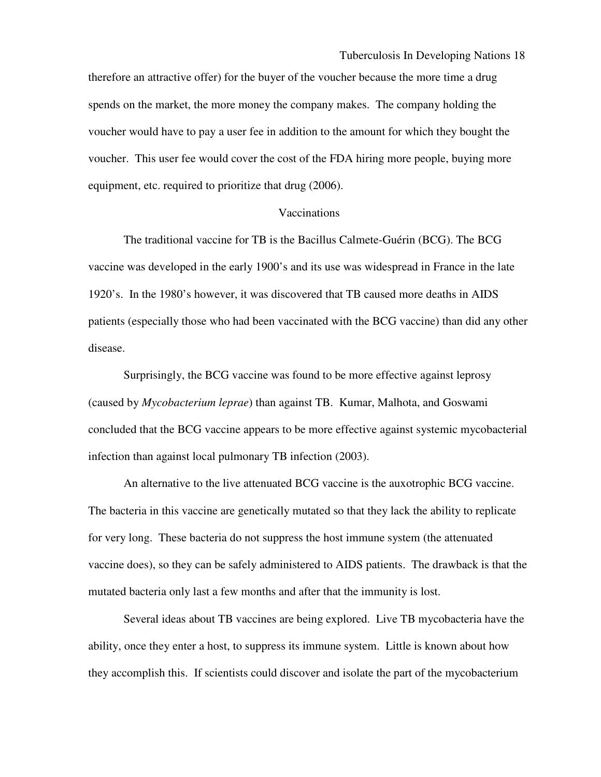therefore an attractive offer) for the buyer of the voucher because the more time a drug spends on the market, the more money the company makes. The company holding the voucher would have to pay a user fee in addition to the amount for which they bought the voucher. This user fee would cover the cost of the FDA hiring more people, buying more equipment, etc. required to prioritize that drug (2006).

#### Vaccinations

 The traditional vaccine for TB is the Bacillus Calmete-Guérin (BCG). The BCG vaccine was developed in the early 1900's and its use was widespread in France in the late 1920's. In the 1980's however, it was discovered that TB caused more deaths in AIDS patients (especially those who had been vaccinated with the BCG vaccine) than did any other disease.

 Surprisingly, the BCG vaccine was found to be more effective against leprosy (caused by *Mycobacterium leprae*) than against TB. Kumar, Malhota, and Goswami concluded that the BCG vaccine appears to be more effective against systemic mycobacterial infection than against local pulmonary TB infection (2003).

 An alternative to the live attenuated BCG vaccine is the auxotrophic BCG vaccine. The bacteria in this vaccine are genetically mutated so that they lack the ability to replicate for very long. These bacteria do not suppress the host immune system (the attenuated vaccine does), so they can be safely administered to AIDS patients. The drawback is that the mutated bacteria only last a few months and after that the immunity is lost.

 Several ideas about TB vaccines are being explored. Live TB mycobacteria have the ability, once they enter a host, to suppress its immune system. Little is known about how they accomplish this. If scientists could discover and isolate the part of the mycobacterium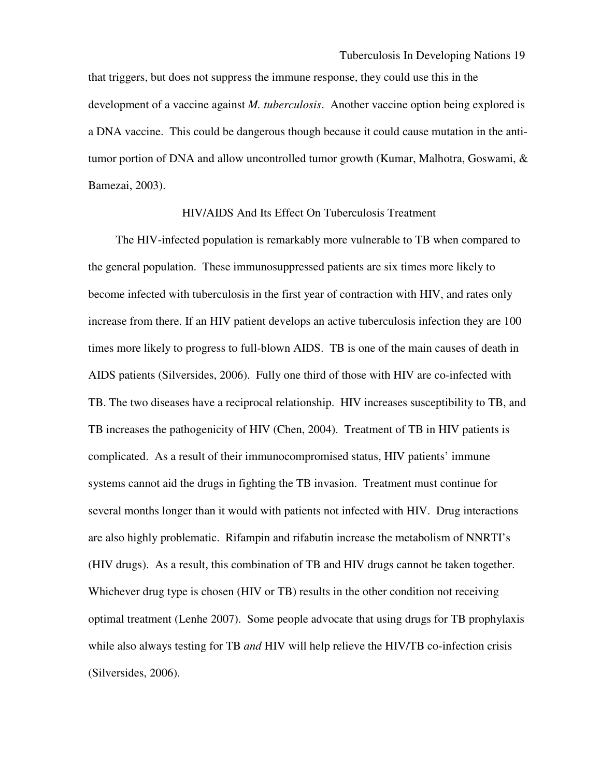that triggers, but does not suppress the immune response, they could use this in the development of a vaccine against *M. tuberculosis*. Another vaccine option being explored is a DNA vaccine. This could be dangerous though because it could cause mutation in the antitumor portion of DNA and allow uncontrolled tumor growth (Kumar, Malhotra, Goswami, & Bamezai, 2003).

## HIV/AIDS And Its Effect On Tuberculosis Treatment

 The HIV-infected population is remarkably more vulnerable to TB when compared to the general population. These immunosuppressed patients are six times more likely to become infected with tuberculosis in the first year of contraction with HIV, and rates only increase from there. If an HIV patient develops an active tuberculosis infection they are 100 times more likely to progress to full-blown AIDS. TB is one of the main causes of death in AIDS patients (Silversides, 2006). Fully one third of those with HIV are co-infected with TB. The two diseases have a reciprocal relationship. HIV increases susceptibility to TB, and TB increases the pathogenicity of HIV (Chen, 2004). Treatment of TB in HIV patients is complicated. As a result of their immunocompromised status, HIV patients' immune systems cannot aid the drugs in fighting the TB invasion. Treatment must continue for several months longer than it would with patients not infected with HIV. Drug interactions are also highly problematic. Rifampin and rifabutin increase the metabolism of NNRTI's (HIV drugs). As a result, this combination of TB and HIV drugs cannot be taken together. Whichever drug type is chosen (HIV or TB) results in the other condition not receiving optimal treatment (Lenhe 2007). Some people advocate that using drugs for TB prophylaxis while also always testing for TB *and* HIV will help relieve the HIV/TB co-infection crisis (Silversides, 2006).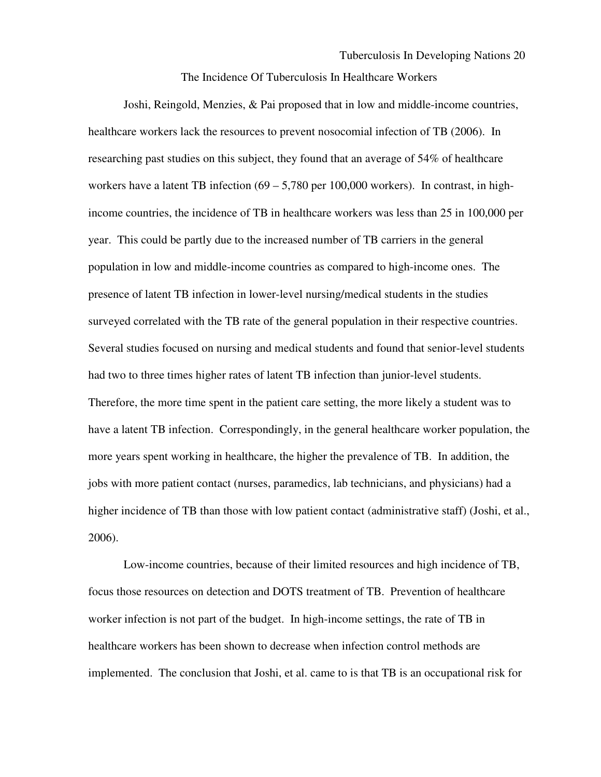The Incidence Of Tuberculosis In Healthcare Workers

Joshi, Reingold, Menzies, & Pai proposed that in low and middle-income countries, healthcare workers lack the resources to prevent nosocomial infection of TB (2006). In researching past studies on this subject, they found that an average of 54% of healthcare workers have a latent TB infection  $(69 - 5,780$  per 100,000 workers). In contrast, in highincome countries, the incidence of TB in healthcare workers was less than 25 in 100,000 per year. This could be partly due to the increased number of TB carriers in the general population in low and middle-income countries as compared to high-income ones. The presence of latent TB infection in lower-level nursing/medical students in the studies surveyed correlated with the TB rate of the general population in their respective countries. Several studies focused on nursing and medical students and found that senior-level students had two to three times higher rates of latent TB infection than junior-level students. Therefore, the more time spent in the patient care setting, the more likely a student was to have a latent TB infection. Correspondingly, in the general healthcare worker population, the more years spent working in healthcare, the higher the prevalence of TB. In addition, the jobs with more patient contact (nurses, paramedics, lab technicians, and physicians) had a higher incidence of TB than those with low patient contact (administrative staff) (Joshi, et al., 2006).

 Low-income countries, because of their limited resources and high incidence of TB, focus those resources on detection and DOTS treatment of TB. Prevention of healthcare worker infection is not part of the budget. In high-income settings, the rate of TB in healthcare workers has been shown to decrease when infection control methods are implemented. The conclusion that Joshi, et al. came to is that TB is an occupational risk for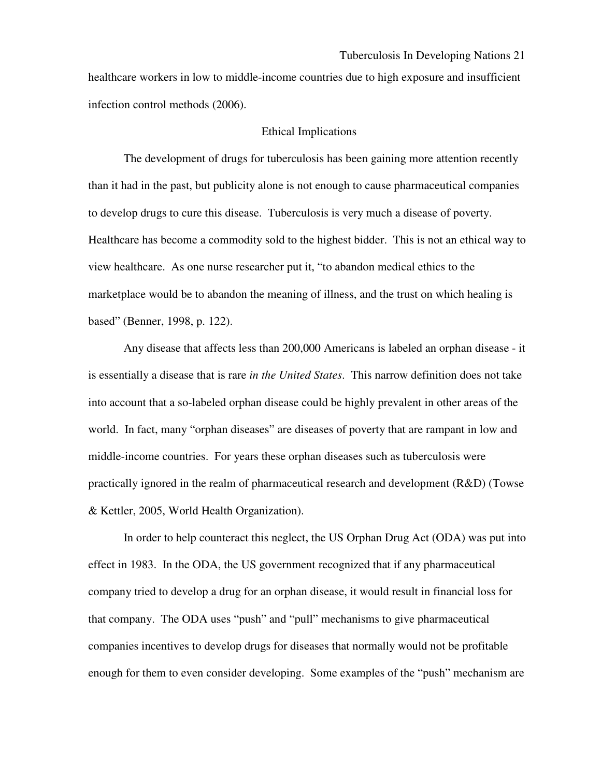healthcare workers in low to middle-income countries due to high exposure and insufficient infection control methods (2006).

### Ethical Implications

The development of drugs for tuberculosis has been gaining more attention recently than it had in the past, but publicity alone is not enough to cause pharmaceutical companies to develop drugs to cure this disease. Tuberculosis is very much a disease of poverty. Healthcare has become a commodity sold to the highest bidder. This is not an ethical way to view healthcare. As one nurse researcher put it, "to abandon medical ethics to the marketplace would be to abandon the meaning of illness, and the trust on which healing is based" (Benner, 1998, p. 122).

Any disease that affects less than 200,000 Americans is labeled an orphan disease - it is essentially a disease that is rare *in the United States*. This narrow definition does not take into account that a so-labeled orphan disease could be highly prevalent in other areas of the world. In fact, many "orphan diseases" are diseases of poverty that are rampant in low and middle-income countries. For years these orphan diseases such as tuberculosis were practically ignored in the realm of pharmaceutical research and development (R&D) (Towse & Kettler, 2005, World Health Organization).

In order to help counteract this neglect, the US Orphan Drug Act (ODA) was put into effect in 1983. In the ODA, the US government recognized that if any pharmaceutical company tried to develop a drug for an orphan disease, it would result in financial loss for that company. The ODA uses "push" and "pull" mechanisms to give pharmaceutical companies incentives to develop drugs for diseases that normally would not be profitable enough for them to even consider developing. Some examples of the "push" mechanism are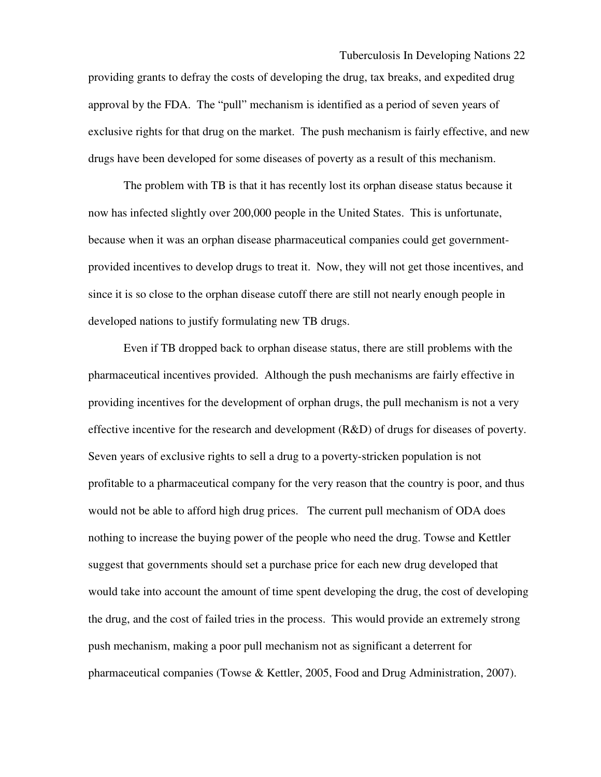providing grants to defray the costs of developing the drug, tax breaks, and expedited drug approval by the FDA. The "pull" mechanism is identified as a period of seven years of exclusive rights for that drug on the market. The push mechanism is fairly effective, and new drugs have been developed for some diseases of poverty as a result of this mechanism.

The problem with TB is that it has recently lost its orphan disease status because it now has infected slightly over 200,000 people in the United States. This is unfortunate, because when it was an orphan disease pharmaceutical companies could get governmentprovided incentives to develop drugs to treat it. Now, they will not get those incentives, and since it is so close to the orphan disease cutoff there are still not nearly enough people in developed nations to justify formulating new TB drugs.

Even if TB dropped back to orphan disease status, there are still problems with the pharmaceutical incentives provided. Although the push mechanisms are fairly effective in providing incentives for the development of orphan drugs, the pull mechanism is not a very effective incentive for the research and development  $(R&D)$  of drugs for diseases of poverty. Seven years of exclusive rights to sell a drug to a poverty-stricken population is not profitable to a pharmaceutical company for the very reason that the country is poor, and thus would not be able to afford high drug prices. The current pull mechanism of ODA does nothing to increase the buying power of the people who need the drug. Towse and Kettler suggest that governments should set a purchase price for each new drug developed that would take into account the amount of time spent developing the drug, the cost of developing the drug, and the cost of failed tries in the process. This would provide an extremely strong push mechanism, making a poor pull mechanism not as significant a deterrent for pharmaceutical companies (Towse & Kettler, 2005, Food and Drug Administration, 2007).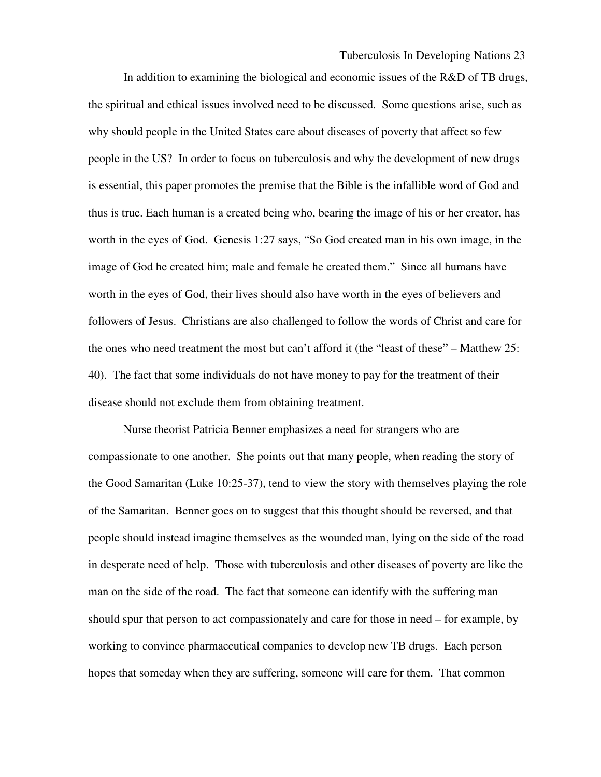In addition to examining the biological and economic issues of the R&D of TB drugs, the spiritual and ethical issues involved need to be discussed. Some questions arise, such as why should people in the United States care about diseases of poverty that affect so few people in the US? In order to focus on tuberculosis and why the development of new drugs is essential, this paper promotes the premise that the Bible is the infallible word of God and thus is true. Each human is a created being who, bearing the image of his or her creator, has worth in the eyes of God. Genesis 1:27 says, "So God created man in his own image, in the image of God he created him; male and female he created them." Since all humans have worth in the eyes of God, their lives should also have worth in the eyes of believers and followers of Jesus. Christians are also challenged to follow the words of Christ and care for the ones who need treatment the most but can't afford it (the "least of these" – Matthew 25: 40). The fact that some individuals do not have money to pay for the treatment of their disease should not exclude them from obtaining treatment.

Nurse theorist Patricia Benner emphasizes a need for strangers who are compassionate to one another. She points out that many people, when reading the story of the Good Samaritan (Luke 10:25-37), tend to view the story with themselves playing the role of the Samaritan. Benner goes on to suggest that this thought should be reversed, and that people should instead imagine themselves as the wounded man, lying on the side of the road in desperate need of help. Those with tuberculosis and other diseases of poverty are like the man on the side of the road. The fact that someone can identify with the suffering man should spur that person to act compassionately and care for those in need – for example, by working to convince pharmaceutical companies to develop new TB drugs. Each person hopes that someday when they are suffering, someone will care for them. That common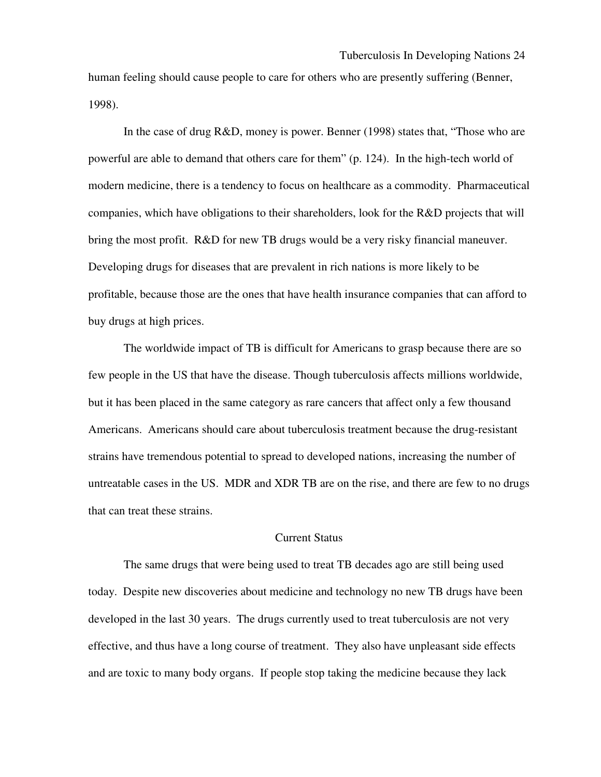human feeling should cause people to care for others who are presently suffering (Benner, 1998).

In the case of drug R&D, money is power. Benner (1998) states that, "Those who are powerful are able to demand that others care for them" (p. 124). In the high-tech world of modern medicine, there is a tendency to focus on healthcare as a commodity. Pharmaceutical companies, which have obligations to their shareholders, look for the R&D projects that will bring the most profit. R&D for new TB drugs would be a very risky financial maneuver. Developing drugs for diseases that are prevalent in rich nations is more likely to be profitable, because those are the ones that have health insurance companies that can afford to buy drugs at high prices.

The worldwide impact of TB is difficult for Americans to grasp because there are so few people in the US that have the disease. Though tuberculosis affects millions worldwide, but it has been placed in the same category as rare cancers that affect only a few thousand Americans. Americans should care about tuberculosis treatment because the drug-resistant strains have tremendous potential to spread to developed nations, increasing the number of untreatable cases in the US. MDR and XDR TB are on the rise, and there are few to no drugs that can treat these strains.

## Current Status

The same drugs that were being used to treat TB decades ago are still being used today. Despite new discoveries about medicine and technology no new TB drugs have been developed in the last 30 years. The drugs currently used to treat tuberculosis are not very effective, and thus have a long course of treatment. They also have unpleasant side effects and are toxic to many body organs. If people stop taking the medicine because they lack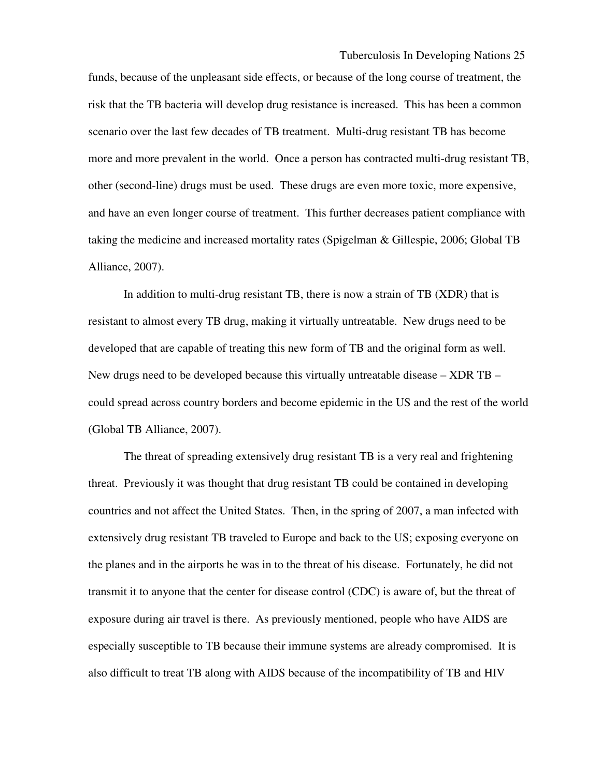funds, because of the unpleasant side effects, or because of the long course of treatment, the risk that the TB bacteria will develop drug resistance is increased. This has been a common scenario over the last few decades of TB treatment. Multi-drug resistant TB has become more and more prevalent in the world. Once a person has contracted multi-drug resistant TB, other (second-line) drugs must be used. These drugs are even more toxic, more expensive, and have an even longer course of treatment. This further decreases patient compliance with taking the medicine and increased mortality rates (Spigelman & Gillespie, 2006; Global TB Alliance, 2007).

In addition to multi-drug resistant TB, there is now a strain of TB (XDR) that is resistant to almost every TB drug, making it virtually untreatable. New drugs need to be developed that are capable of treating this new form of TB and the original form as well. New drugs need to be developed because this virtually untreatable disease – XDR TB – could spread across country borders and become epidemic in the US and the rest of the world (Global TB Alliance, 2007).

The threat of spreading extensively drug resistant TB is a very real and frightening threat. Previously it was thought that drug resistant TB could be contained in developing countries and not affect the United States. Then, in the spring of 2007, a man infected with extensively drug resistant TB traveled to Europe and back to the US; exposing everyone on the planes and in the airports he was in to the threat of his disease. Fortunately, he did not transmit it to anyone that the center for disease control (CDC) is aware of, but the threat of exposure during air travel is there. As previously mentioned, people who have AIDS are especially susceptible to TB because their immune systems are already compromised. It is also difficult to treat TB along with AIDS because of the incompatibility of TB and HIV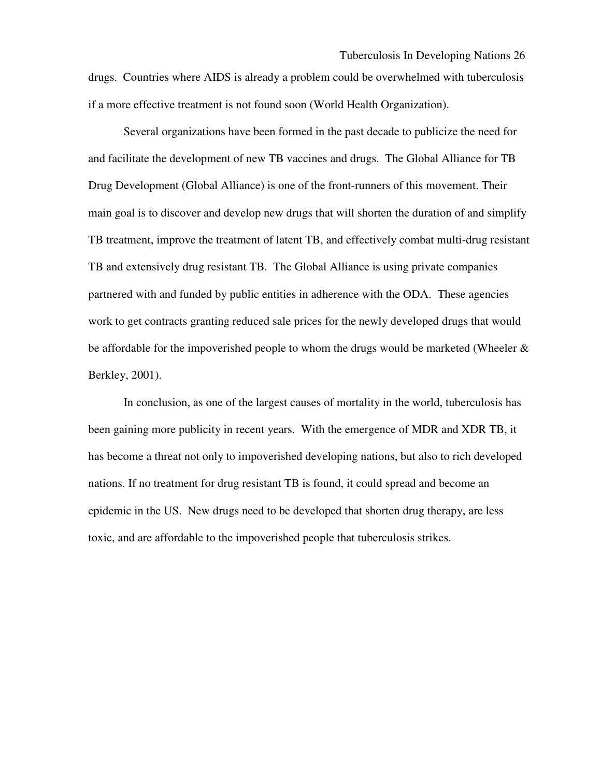drugs. Countries where AIDS is already a problem could be overwhelmed with tuberculosis if a more effective treatment is not found soon (World Health Organization).

 Several organizations have been formed in the past decade to publicize the need for and facilitate the development of new TB vaccines and drugs. The Global Alliance for TB Drug Development (Global Alliance) is one of the front-runners of this movement. Their main goal is to discover and develop new drugs that will shorten the duration of and simplify TB treatment, improve the treatment of latent TB, and effectively combat multi-drug resistant TB and extensively drug resistant TB. The Global Alliance is using private companies partnered with and funded by public entities in adherence with the ODA. These agencies work to get contracts granting reduced sale prices for the newly developed drugs that would be affordable for the impoverished people to whom the drugs would be marketed (Wheeler & Berkley, 2001).

In conclusion, as one of the largest causes of mortality in the world, tuberculosis has been gaining more publicity in recent years. With the emergence of MDR and XDR TB, it has become a threat not only to impoverished developing nations, but also to rich developed nations. If no treatment for drug resistant TB is found, it could spread and become an epidemic in the US. New drugs need to be developed that shorten drug therapy, are less toxic, and are affordable to the impoverished people that tuberculosis strikes.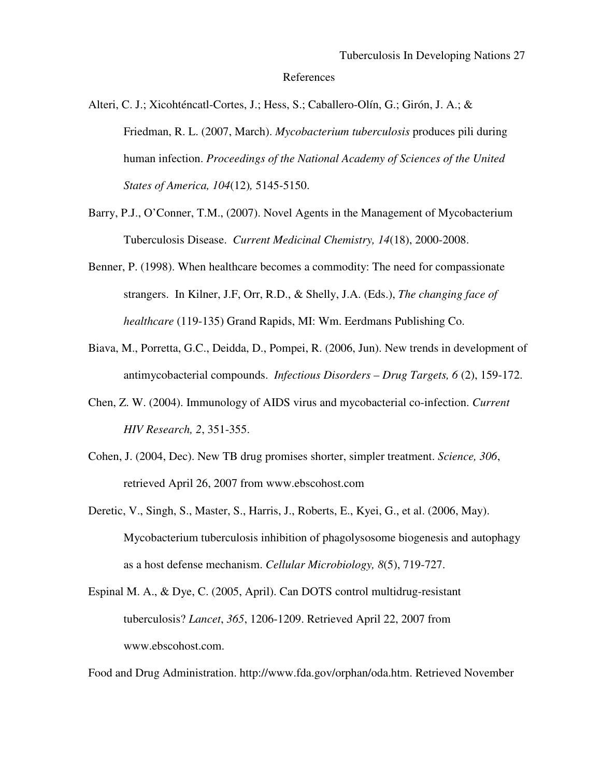References

Alteri, C. J.; Xicohténcatl-Cortes, J.; Hess, S.; Caballero-Olín, G.; Girón, J. A.; & Friedman, R. L. (2007, March). *Mycobacterium tuberculosis* produces pili during human infection. *Proceedings of the National Academy of Sciences of the United States of America, 104*(12)*,* 5145-5150.

- Barry, P.J., O'Conner, T.M., (2007). Novel Agents in the Management of Mycobacterium Tuberculosis Disease. *Current Medicinal Chemistry, 14*(18), 2000-2008.
- Benner, P. (1998). When healthcare becomes a commodity: The need for compassionate strangers. In Kilner, J.F, Orr, R.D., & Shelly, J.A. (Eds.), *The changing face of healthcare* (119-135) Grand Rapids, MI: Wm. Eerdmans Publishing Co.
- Biava, M., Porretta, G.C., Deidda, D., Pompei, R. (2006, Jun). New trends in development of antimycobacterial compounds. *Infectious Disorders – Drug Targets, 6* (2), 159-172.
- Chen, Z. W. (2004). Immunology of AIDS virus and mycobacterial co-infection. *Current HIV Research, 2*, 351-355.
- Cohen, J. (2004, Dec). New TB drug promises shorter, simpler treatment. *Science, 306*, retrieved April 26, 2007 from www.ebscohost.com
- Deretic, V., Singh, S., Master, S., Harris, J., Roberts, E., Kyei, G., et al. (2006, May). Mycobacterium tuberculosis inhibition of phagolysosome biogenesis and autophagy as a host defense mechanism. *Cellular Microbiology, 8*(5), 719-727.
- Espinal M. A., & Dye, C. (2005, April). Can DOTS control multidrug-resistant tuberculosis? *Lancet*, *365*, 1206-1209. Retrieved April 22, 2007 from www.ebscohost.com.

Food and Drug Administration. http://www.fda.gov/orphan/oda.htm. Retrieved November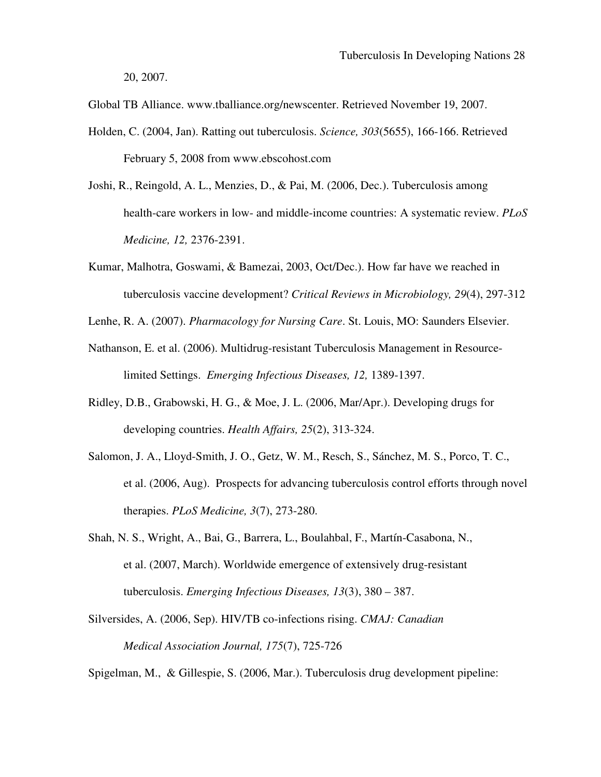20, 2007.

Global TB Alliance. www.tballiance.org/newscenter. Retrieved November 19, 2007.

- Holden, C. (2004, Jan). Ratting out tuberculosis. *Science, 303*(5655), 166-166. Retrieved February 5, 2008 from www.ebscohost.com
- Joshi, R., Reingold, A. L., Menzies, D., & Pai, M. (2006, Dec.). Tuberculosis among health-care workers in low- and middle-income countries: A systematic review. *PLoS Medicine, 12,* 2376-2391.
- Kumar, Malhotra, Goswami, & Bamezai, 2003, Oct/Dec.). How far have we reached in tuberculosis vaccine development? *Critical Reviews in Microbiology, 29*(4), 297-312
- Lenhe, R. A. (2007). *Pharmacology for Nursing Care*. St. Louis, MO: Saunders Elsevier.
- Nathanson, E. et al. (2006). Multidrug-resistant Tuberculosis Management in Resourcelimited Settings. *Emerging Infectious Diseases, 12,* 1389-1397.
- Ridley, D.B., Grabowski, H. G., & Moe, J. L. (2006, Mar/Apr.). Developing drugs for developing countries. *Health Affairs, 25*(2), 313-324.
- Salomon, J. A., Lloyd-Smith, J. O., Getz, W. M., Resch, S., Sánchez, M. S., Porco, T. C., et al. (2006, Aug). Prospects for advancing tuberculosis control efforts through novel therapies. *PLoS Medicine, 3*(7), 273-280.
- Shah, N. S., Wright, A., Bai, G., Barrera, L., Boulahbal, F., Martín-Casabona, N., et al. (2007, March). Worldwide emergence of extensively drug-resistant tuberculosis. *Emerging Infectious Diseases, 13*(3), 380 – 387.
- Silversides, A. (2006, Sep). HIV/TB co-infections rising. *CMAJ: Canadian Medical Association Journal, 175*(7), 725-726

Spigelman, M., & Gillespie, S. (2006, Mar.). Tuberculosis drug development pipeline: